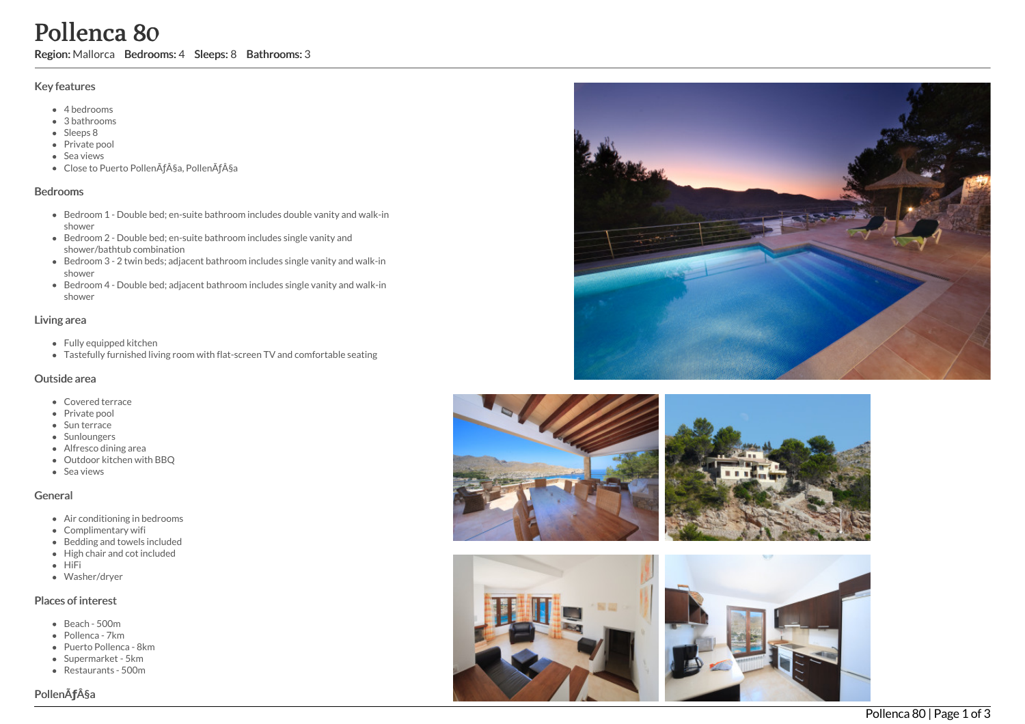# Pollenca 80

Region: Mallorca Bedrooms: 4 Sleeps: 8 Bathrooms: 3

# Key features

- 4 b e d r o o m s
- 3 b a t h r o o m s
- Sleeps 8
- Private pool
- Sea views
- Close to Puerto Pollença, Pollença

# **Bedrooms**

- Bedroom 1 Double bed; en-suite bathroom includes double vanity and walk-in s h o w e r
- Bedroom 2 Double bed; en-suite bathroom includes single vanity and shower/bathtub combination
- Bedroom 3 2 twin beds; adjacent bathroom includes single vanity and walk-in s h o w e r
- Bedroom 4 Double bed; adjacent bathroom includes single vanity and walk-in s h o w e r

# Living area

- Fully equipped kitchen
- Tastefully furnished living room with flat-screen TV and comfortable seating

#### Outside area

- Covered terrace
- Private pool
- Sun terrace
- Sunloungers
- Alfresco dining area
- Outdoor kitchen with BBQ
- S e a vie w s

# General

- Air conditioning in bedrooms
- Complimentary wifi
- Bedding and towels included
- High chair and cot included
- $-HiFi$
- Washer/dryer

# Places of interest

- B e a c h 5 0 0 m
- Pollenca 7km
- Puerto Pollenca 8km
- Supermarket 5km
- Restaurants 500m





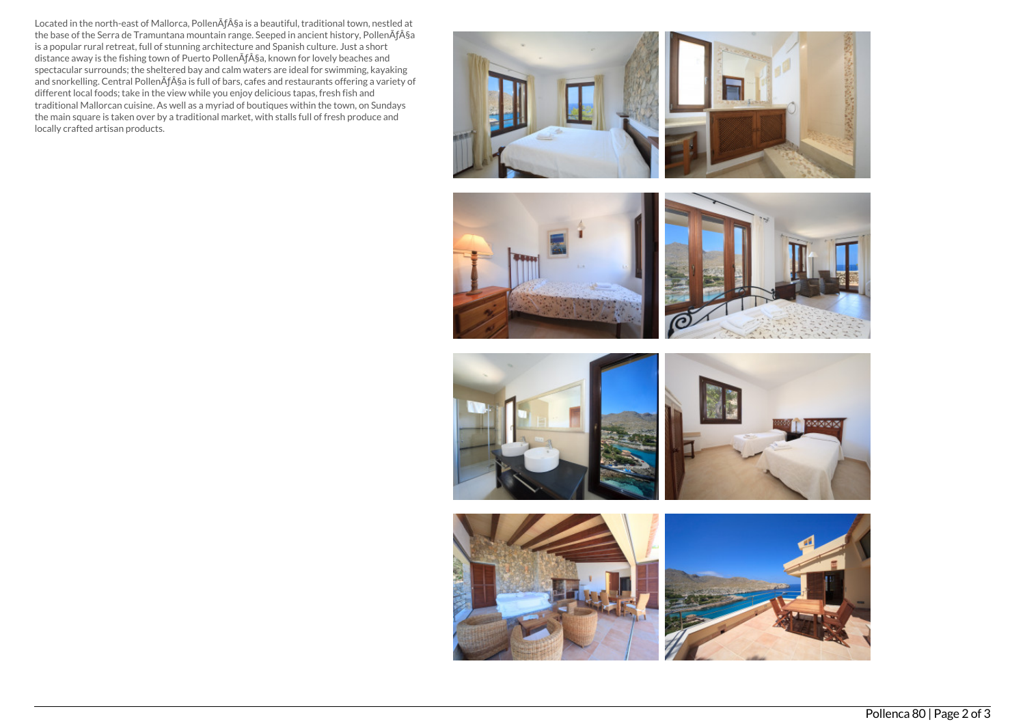Located in the north-east of Mallorca, PollenÃƒ§a is a beautiful, traditional town, nestled at the base of the Serra de Tramuntana mountain range. Seeped in ancient history, PollenÃƒ§a is a popular rural retreat, full of stunning architecture and Spanish culture. Just a short distance away is the fishing town of Puerto PollenÃƒ§a, known for lovely beaches and spectacular surrounds; the sheltered bay and calm waters are ideal for swimming, kayaking and snorkelling. Central PollenÃƒ§a is full of bars, cafes and restaurants offering a variety of different local foods; take in the view while you enjoy delicious tapas, fresh fish and traditional Mallorcan cuisine. As well as a myriad of boutiques within the town, on Sundays the main square is taken over by a traditional market, with stalls full of fresh produce and locally crafted artisan products.